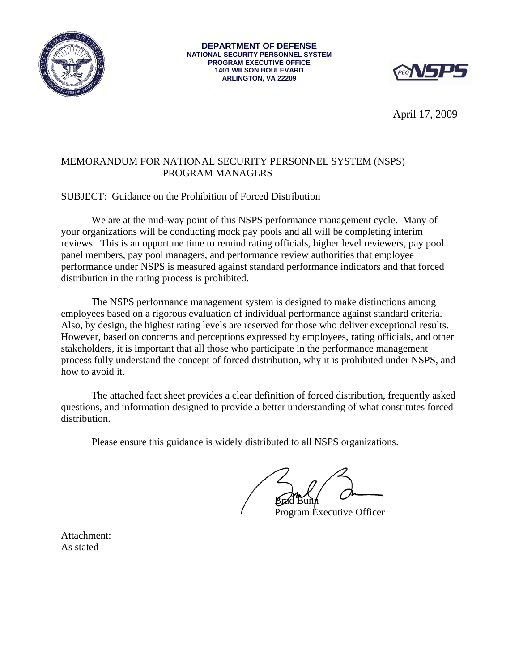

**DEPARTMENT OF DEFENSE NATIONAL SECURITY PERSONNEL SYSTEM PROGRAM EXECUTIVE OFFICE 1401 WILSON BOULEVARD ARLINGTON, VA 22209** 



April 17, 2009

### MEMORANDUM FOR NATIONAL SECURITY PERSONNEL SYSTEM (NSPS) PROGRAM MANAGERS

SUBJECT: Guidance on the Prohibition of Forced Distribution

 We are at the mid-way point of this NSPS performance management cycle. Many of your organizations will be conducting mock pay pools and all will be completing interim reviews. This is an opportune time to remind rating officials, higher level reviewers, pay pool panel members, pay pool managers, and performance review authorities that employee performance under NSPS is measured against standard performance indicators and that forced distribution in the rating process is prohibited.

The NSPS performance management system is designed to make distinctions among employees based on a rigorous evaluation of individual performance against standard criteria. Also, by design, the highest rating levels are reserved for those who deliver exceptional results. However, based on concerns and perceptions expressed by employees, rating officials, and other stakeholders, it is important that all those who participate in the performance management process fully understand the concept of forced distribution, why it is prohibited under NSPS, and how to avoid it.

The attached fact sheet provides a clear definition of forced distribution, frequently asked questions, and information designed to provide a better understanding of what constitutes forced distribution.

Please ensure this guidance is widely distributed to all NSPS organizations.

Brad Bunn

Program Executive Officer

Attachment: As stated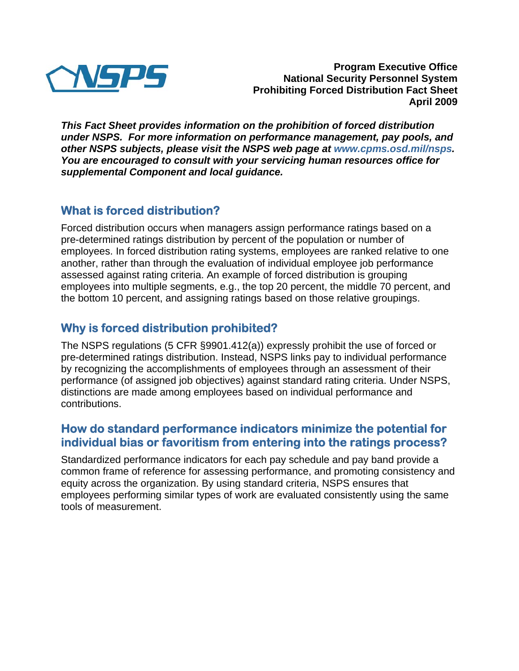

**Program Executive Office National Security Personnel System Prohibiting Forced Distribution Fact Sheet April 2009** 

*This Fact Sheet provides information on the prohibition of forced distribution under NSPS. For more information on performance management, pay pools, and other NSPS subjects, please visit the NSPS web page at www.cpms.osd.mil/nsps. You are encouraged to consult with your servicing human resources office for supplemental Component and local guidance.* 

# **What is forced distribution?**

Forced distribution occurs when managers assign performance ratings based on a pre-determined ratings distribution by percent of the population or number of employees. In forced distribution rating systems, employees are ranked relative to one another, rather than through the evaluation of individual employee job performance assessed against rating criteria. An example of forced distribution is grouping employees into multiple segments, e.g., the top 20 percent, the middle 70 percent, and the bottom 10 percent, and assigning ratings based on those relative groupings.

# **Why is forced distribution prohibited?**

The NSPS regulations (5 CFR §9901.412(a)) expressly prohibit the use of forced or pre-determined ratings distribution. Instead, NSPS links pay to individual performance by recognizing the accomplishments of employees through an assessment of their performance (of assigned job objectives) against standard rating criteria. Under NSPS, distinctions are made among employees based on individual performance and contributions.

### **How do standard performance indicators minimize the potential for individual bias or favoritism from entering into the ratings process?**

Standardized performance indicators for each pay schedule and pay band provide a common frame of reference for assessing performance, and promoting consistency and equity across the organization. By using standard criteria, NSPS ensures that employees performing similar types of work are evaluated consistently using the same tools of measurement.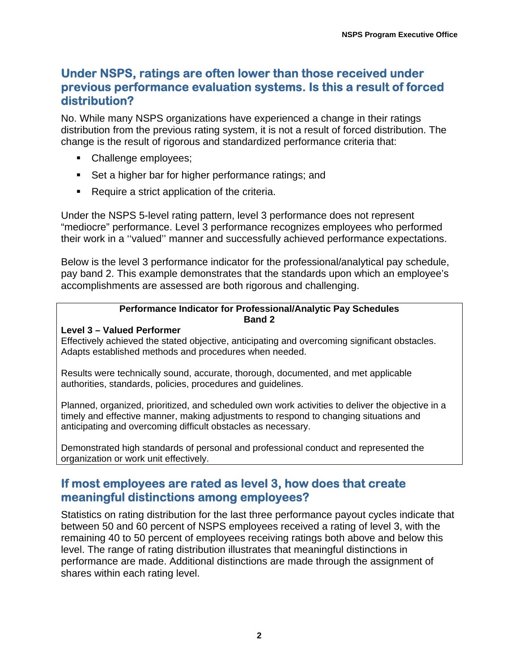## **Under NSPS, ratings are often lower than those received under previous performance evaluation systems. Is this a result of forced distribution?**

No. While many NSPS organizations have experienced a change in their ratings distribution from the previous rating system, it is not a result of forced distribution. The change is the result of rigorous and standardized performance criteria that:

- Challenge employees;
- Set a higher bar for higher performance ratings; and
- Require a strict application of the criteria.

Under the NSPS 5-level rating pattern, level 3 performance does not represent "mediocre" performance. Level 3 performance recognizes employees who performed their work in a ''valued'' manner and successfully achieved performance expectations.

Below is the level 3 performance indicator for the professional/analytical pay schedule, pay band 2. This example demonstrates that the standards upon which an employee's accomplishments are assessed are both rigorous and challenging.

#### **Performance Indicator for Professional/Analytic Pay Schedules Band 2**

#### **Level 3 – Valued Performer**

Effectively achieved the stated objective, anticipating and overcoming significant obstacles. Adapts established methods and procedures when needed.

Results were technically sound, accurate, thorough, documented, and met applicable authorities, standards, policies, procedures and guidelines.

Planned, organized, prioritized, and scheduled own work activities to deliver the objective in a timely and effective manner, making adjustments to respond to changing situations and anticipating and overcoming difficult obstacles as necessary.

Demonstrated high standards of personal and professional conduct and represented the organization or work unit effectively.

## **If most employees are rated as level 3, how does that create meaningful distinctions among employees?**

Statistics on rating distribution for the last three performance payout cycles indicate that between 50 and 60 percent of NSPS employees received a rating of level 3, with the remaining 40 to 50 percent of employees receiving ratings both above and below this level. The range of rating distribution illustrates that meaningful distinctions in performance are made. Additional distinctions are made through the assignment of shares within each rating level.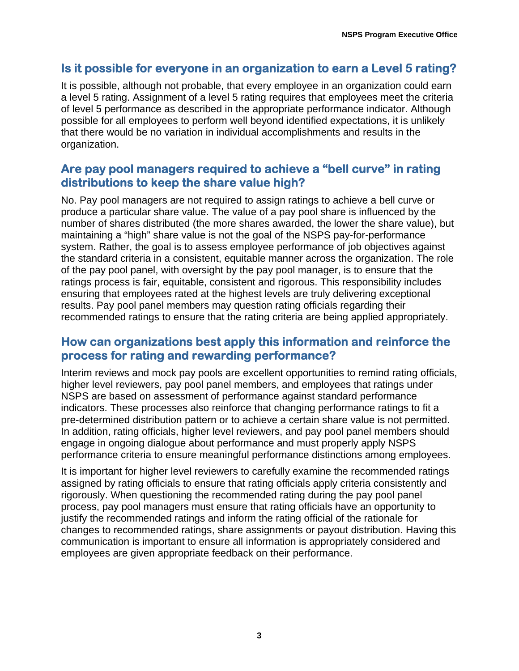## **Is it possible for everyone in an organization to earn a Level 5 rating?**

It is possible, although not probable, that every employee in an organization could earn a level 5 rating. Assignment of a level 5 rating requires that employees meet the criteria of level 5 performance as described in the appropriate performance indicator. Although possible for all employees to perform well beyond identified expectations, it is unlikely that there would be no variation in individual accomplishments and results in the organization.

### **Are pay pool managers required to achieve a "bell curve" in rating distributions to keep the share value high?**

No. Pay pool managers are not required to assign ratings to achieve a bell curve or produce a particular share value. The value of a pay pool share is influenced by the number of shares distributed (the more shares awarded, the lower the share value), but maintaining a "high" share value is not the goal of the NSPS pay-for-performance system. Rather, the goal is to assess employee performance of job objectives against the standard criteria in a consistent, equitable manner across the organization. The role of the pay pool panel, with oversight by the pay pool manager, is to ensure that the ratings process is fair, equitable, consistent and rigorous. This responsibility includes ensuring that employees rated at the highest levels are truly delivering exceptional results. Pay pool panel members may question rating officials regarding their recommended ratings to ensure that the rating criteria are being applied appropriately.

### **How can organizations best apply this information and reinforce the process for rating and rewarding performance?**

Interim reviews and mock pay pools are excellent opportunities to remind rating officials, higher level reviewers, pay pool panel members, and employees that ratings under NSPS are based on assessment of performance against standard performance indicators. These processes also reinforce that changing performance ratings to fit a pre-determined distribution pattern or to achieve a certain share value is not permitted. In addition, rating officials, higher level reviewers, and pay pool panel members should engage in ongoing dialogue about performance and must properly apply NSPS performance criteria to ensure meaningful performance distinctions among employees.

It is important for higher level reviewers to carefully examine the recommended ratings assigned by rating officials to ensure that rating officials apply criteria consistently and rigorously. When questioning the recommended rating during the pay pool panel process, pay pool managers must ensure that rating officials have an opportunity to justify the recommended ratings and inform the rating official of the rationale for changes to recommended ratings, share assignments or payout distribution. Having this communication is important to ensure all information is appropriately considered and employees are given appropriate feedback on their performance.